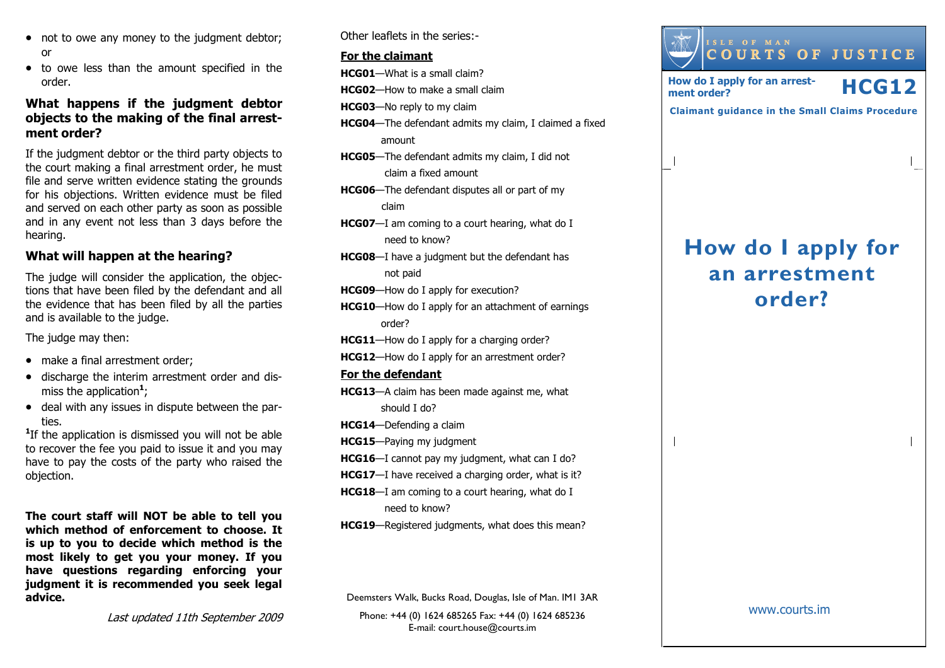- not to owe any money to the judgment debtor; or
- to owe less than the amount specified in the order.

## What happens if the judgment debtor objects to the making of the final arrestment order?

If the judgment debtor or the third party objects to the court making a final arrestment order, he must file and serve written evidence stating the grounds for his objections. Written evidence must be filed and served on each other party as soon as possible and in any event not less than 3 days before the hearing.

## What will happen at the hearing?

The judge will consider the application, the objections that have been filed by the defendant and all the evidence that has been filed by all the partiesand is available to the judge.

The judge may then:

- make a final arrestment order;
- discharge the interim arrestment order and dismiss the application<sup>1</sup>;
- deal with any issues in dispute between the parties.

<sup>1</sup>If the application is dismissed you will not be able to recover the fee you paid to issue it and you may have to pay the costs of the party who raised the objection.

The court staff will NOT be able to tell you which method of enforcement to choose. It is up to you to decide which method is the most likely to get you your money. If you have questions regarding enforcing your judgment it is recommended you seek legal advice.

Other leaflets in the series:-

#### For the claimant

HCG01—What is a small claim?

HCG02—How to make a small claim

HCG03—No reply to my claim

- HCG04—The defendant admits my claim, I claimed a fixed amount
- HCG05—The defendant admits my claim, I did not claim a fixed amount
- HCG06—The defendant disputes all or part of my claim
- HCG07—I am coming to a court hearing, what do I need to know?
- **HCG08**—I have a judgment but the defendant has not paid
- HCG09—How do I apply for execution?
- HCG10—How do I apply for an attachment of earnings order?
- HCG11—How do I apply for a charging order?
- HCG12—How do I apply for an arrestment order?

#### For the defendant

- HCG13—A claim has been made against me, what should I do?
- HCG14—Defending a claim
- HCG15—Paying my judgment
- HCG16—I cannot pay my judgment, what can I do?
- HCG17-I have received a charging order, what is it?
- HCG18—I am coming to a court hearing, what do I need to know?
- HCG19—Registered judgments, what does this mean?

Deemsters Walk, Bucks Road, Douglas, Isle of Man. IM1 3AR

Phone: +44 (0) 1624 685265 Fax: +44 (0) 1624 685236E-mail: court.house@courts.im



Last updated 11th September 2009

www.courts.im